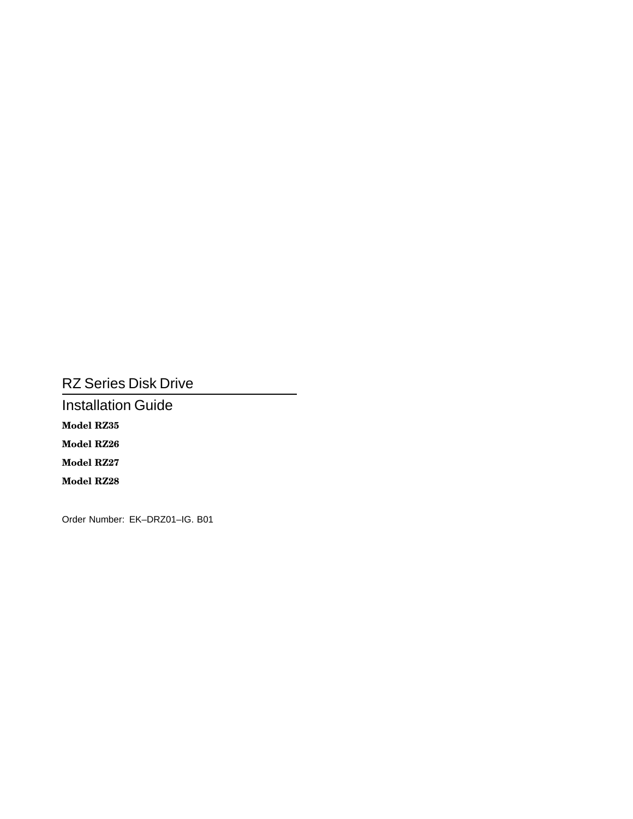# RZ Series Disk Drive

Installation Guide **Model RZ35 Model RZ26 Model RZ27 Model RZ28**

Order Number: EK–DRZ01–IG. B01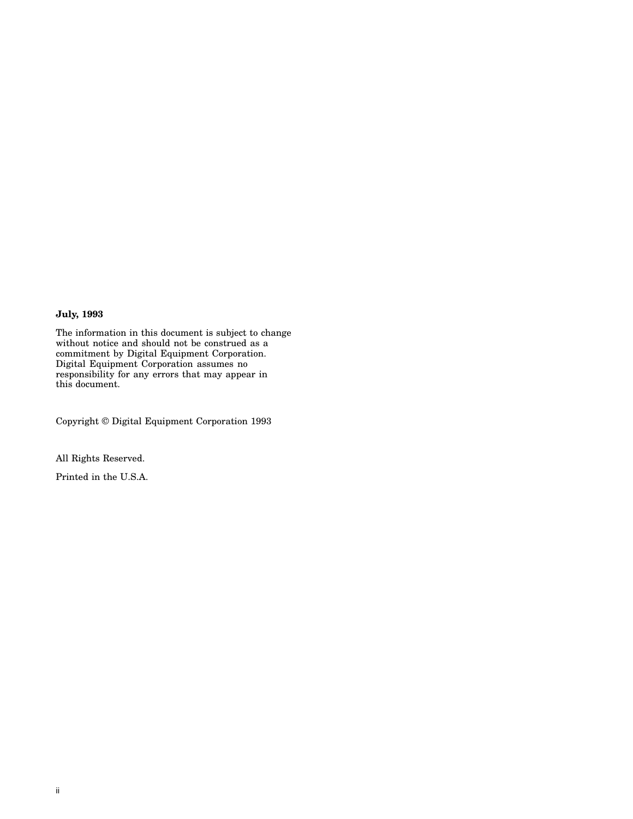#### **July, 1993**

The information in this document is subject to change without notice and should not be construed as a commitment by Digital Equipment Corporation. Digital Equipment Corporation assumes no responsibility for any errors that may appear in this document.

Copyright © Digital Equipment Corporation 1993

All Rights Reserved.

Printed in the U.S.A.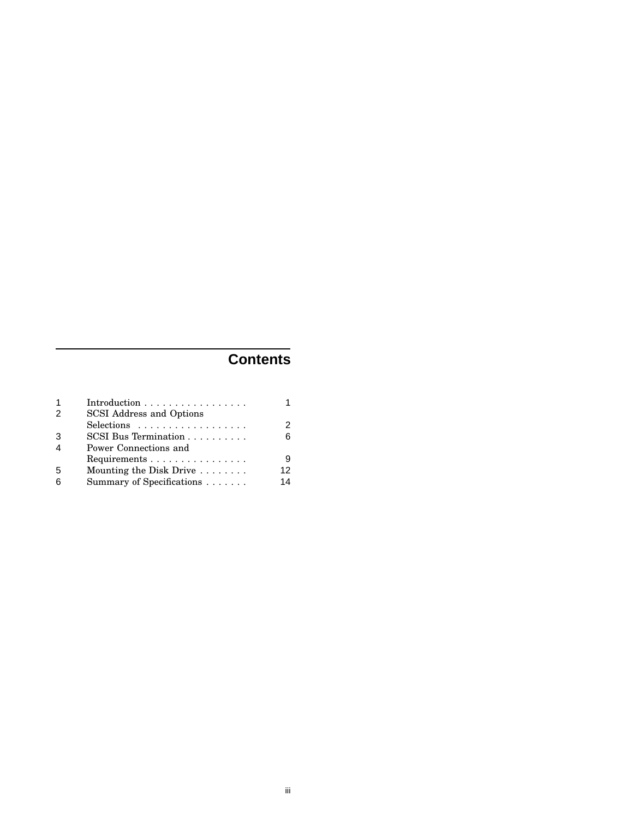# **Contents**

| $\overline{1}$         | Introduction $\ldots \ldots \ldots \ldots \ldots$ |    |
|------------------------|---------------------------------------------------|----|
| $\mathcal{P}$          | SCSI Address and Options                          |    |
|                        | Selections                                        | 2  |
| 3                      | $SCSI$ Bus Termination $\ldots \ldots \ldots$     | 6  |
| $\boldsymbol{\Lambda}$ | Power Connections and                             |    |
|                        | Requirements                                      | 9  |
| 5                      | Mounting the Disk Drive $\dots \dots$             | 12 |
| 6                      | Summary of Specifications                         | 14 |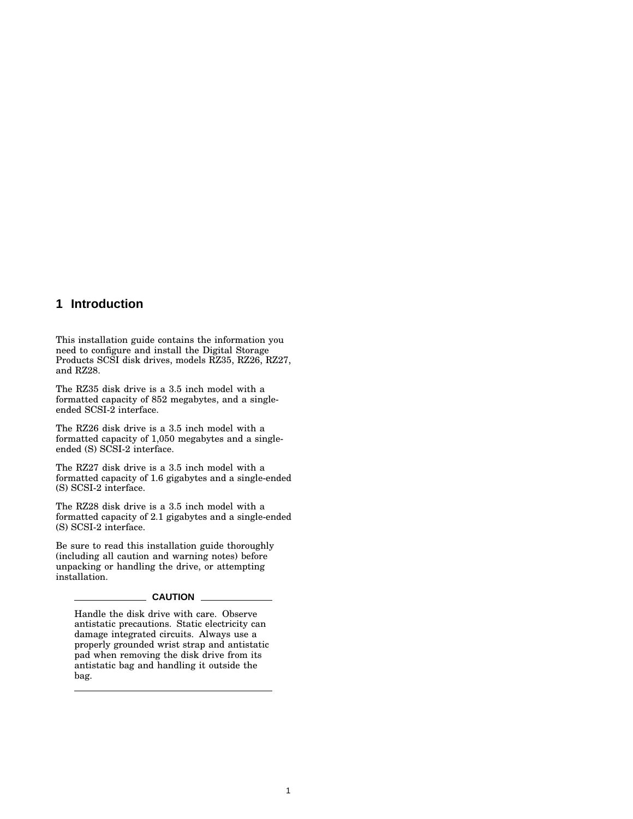### **1 Introduction**

This installation guide contains the information you need to configure and install the Digital Storage Products SCSI disk drives, models RZ35, RZ26, RZ27, and RZ28.

The RZ35 disk drive is a 3.5 inch model with a formatted capacity of 852 megabytes, and a singleended SCSI-2 interface.

The RZ26 disk drive is a 3.5 inch model with a formatted capacity of 1,050 megabytes and a singleended (S) SCSI-2 interface.

The RZ27 disk drive is a 3.5 inch model with a formatted capacity of 1.6 gigabytes and a single-ended (S) SCSI-2 interface.

The RZ28 disk drive is a 3.5 inch model with a formatted capacity of 2.1 gigabytes and a single-ended (S) SCSI-2 interface.

Be sure to read this installation guide thoroughly (including all caution and warning notes) before unpacking or handling the drive, or attempting installation.

#### **CAUTION**

Handle the disk drive with care. Observe antistatic precautions. Static electricity can damage integrated circuits. Always use a properly grounded wrist strap and antistatic pad when removing the disk drive from its antistatic bag and handling it outside the bag.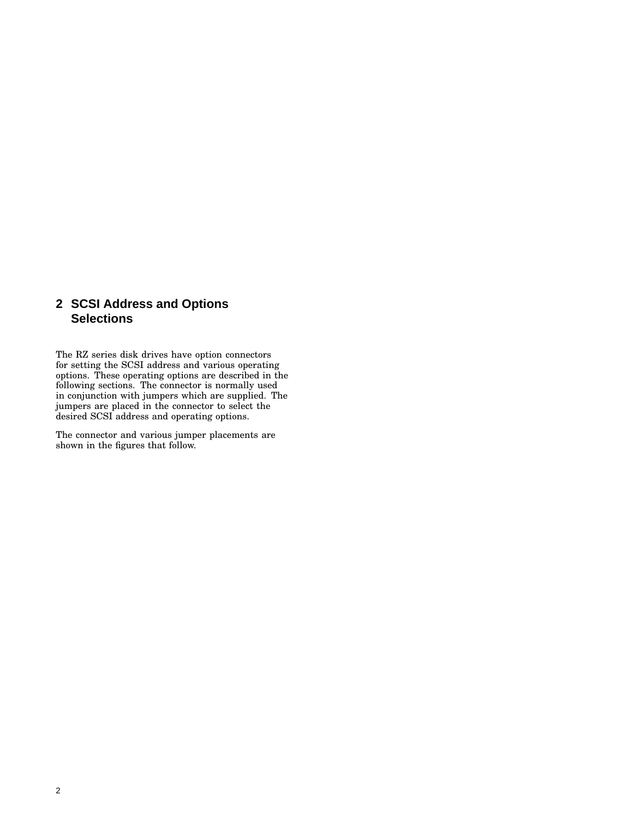## **2 SCSI Address and Options Selections**

The RZ series disk drives have option connectors for setting the SCSI address and various operating options. These operating options are described in the following sections. The connector is normally used in conjunction with jumpers which are supplied. The jumpers are placed in the connector to select the desired SCSI address and operating options.

The connector and various jumper placements are shown in the figures that follow.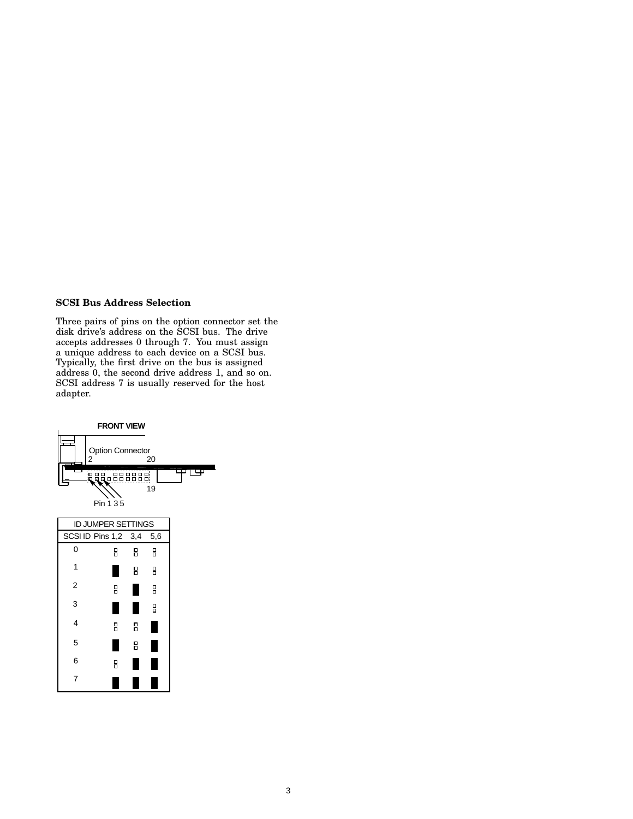#### **SCSI Bus Address Selection**

Three pairs of pins on the option connector set the disk drive's address on the SCSI bus. The drive accepts addresses 0 through 7. You must assign a unique address to each device on a SCSI bus. Typically, the first drive on the bus is assigned address 0, the second drive address 1, and so on. SCSI address 7 is usually reserved for the host adapter.

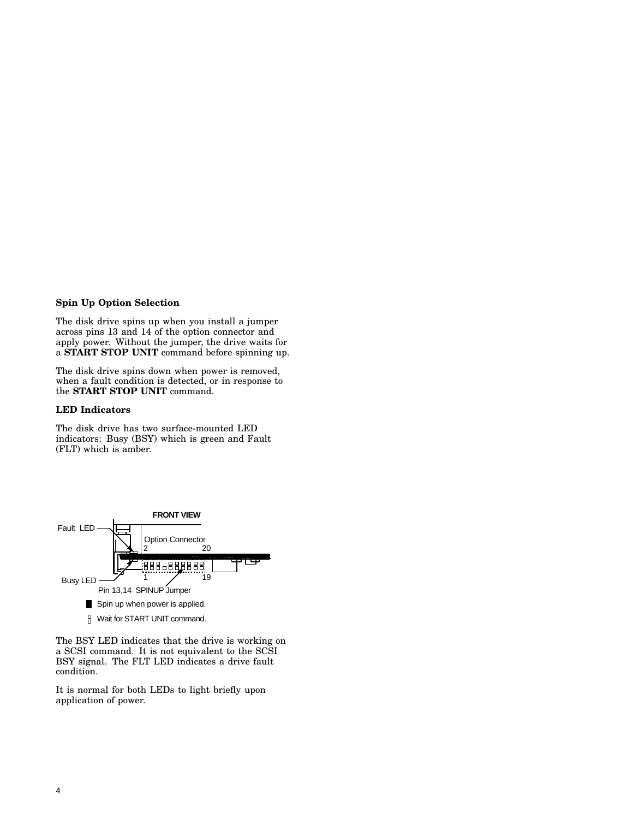#### **Spin Up Option Selection**

The disk drive spins up when you install a jumper across pins 13 and 14 of the option connector and apply power. Without the jumper, the drive waits for a **START STOP UNIT** command before spinning up.

The disk drive spins down when power is removed, when a fault condition is detected, or in response to the **START STOP UNIT** command.

#### **LED Indicators**

The disk drive has two surface-mounted LED indicators: Busy (BSY) which is green and Fault (FLT) which is amber.



The BSY LED indicates that the drive is working on a SCSI command. It is not equivalent to the SCSI BSY signal. The FLT LED indicates a drive fault condition.

It is normal for both LEDs to light briefly upon application of power.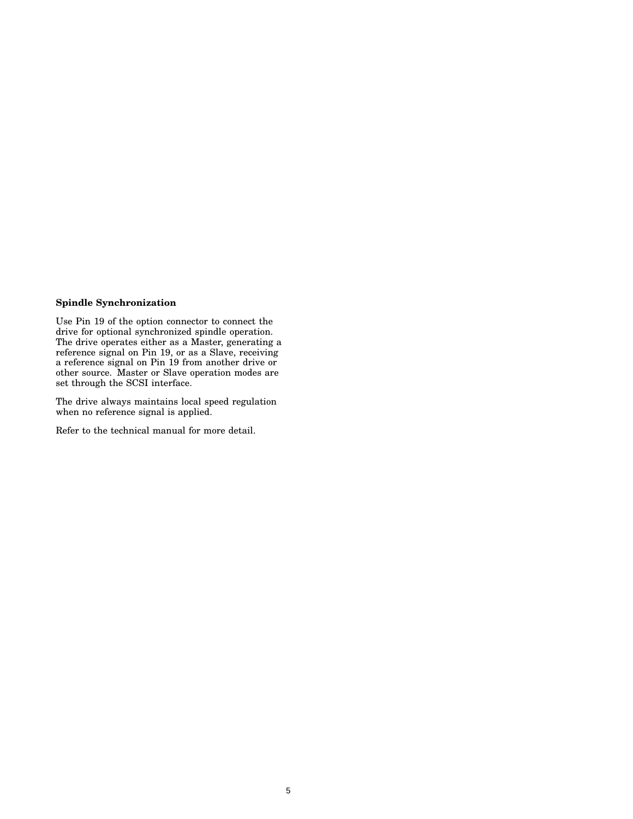#### **Spindle Synchronization**

Use Pin 19 of the option connector to connect the drive for optional synchronized spindle operation. The drive operates either as a Master, generating a reference signal on Pin 19, or as a Slave, receiving a reference signal on Pin 19 from another drive or other source. Master or Slave operation modes are set through the SCSI interface.

The drive always maintains local speed regulation when no reference signal is applied.

Refer to the technical manual for more detail.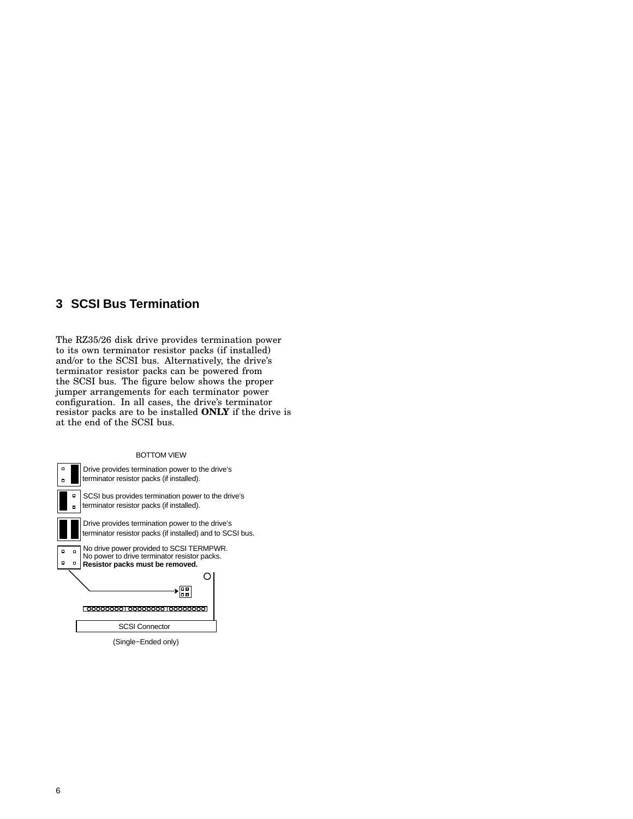## **3 SCSI Bus Termination**

The RZ35/26 disk drive provides termination power to its own terminator resistor packs (if installed) and/or to the SCSI bus. Alternatively, the drive's terminator resistor packs can be powered from the SCSI bus. The figure below shows the proper jumper arrangements for each terminator power configuration. In all cases, the drive's terminator resistor packs are to be installed **ONLY** if the drive is at the end of the SCSI bus.



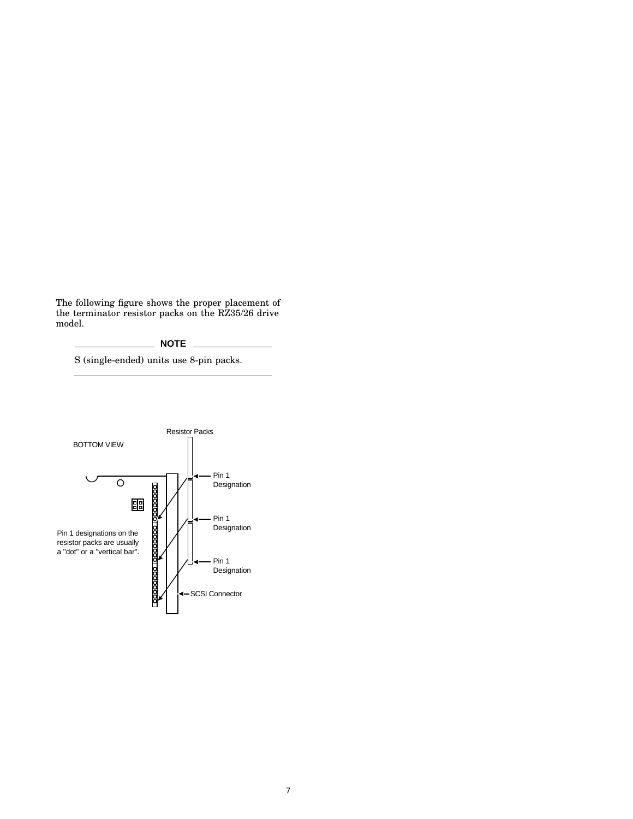The following figure shows the proper placement of the terminator resistor packs on the RZ35/26 drive model.



S (single-ended) units use 8-pin packs.

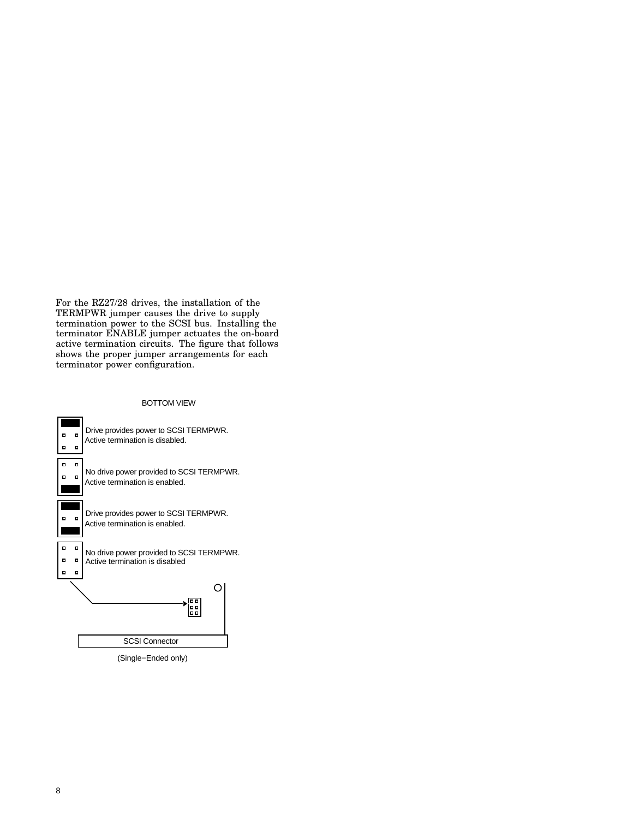For the RZ27/28 drives, the installation of the TERMPWR jumper causes the drive to supply termination power to the SCSI bus. Installing the terminator ENABLE jumper actuates the on-board active termination circuits. The figure that follows shows the proper jumper arrangements for each terminator power configuration.



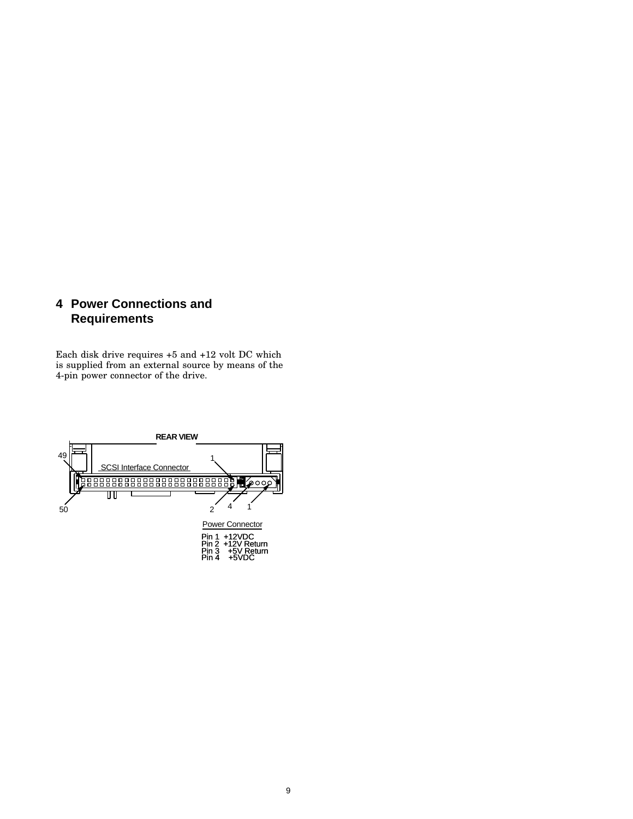## **4 Power Connections and Requirements**

Each disk drive requires +5 and +12 volt DC which is supplied from an external source by means of the 4-pin power connector of the drive.

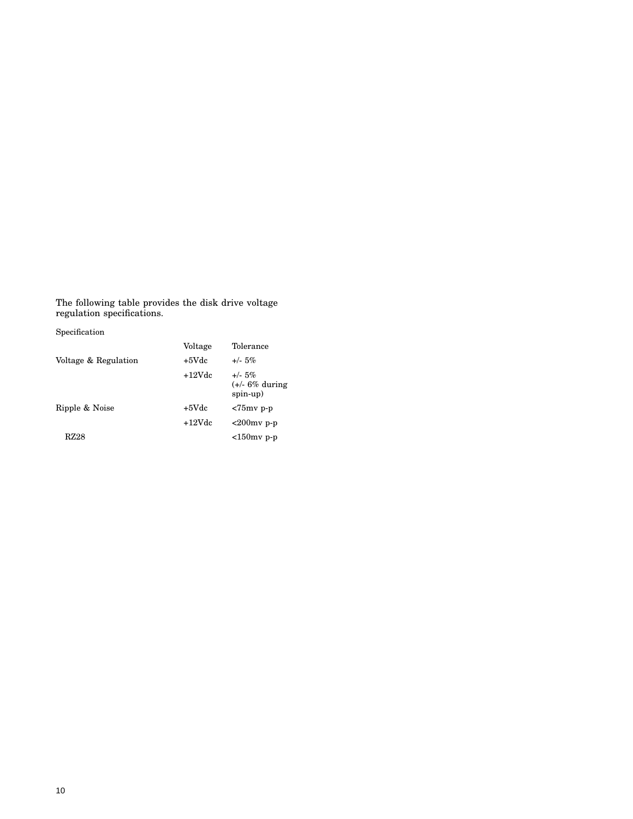The following table provides the disk drive voltage regulation specifications.

| Specification        |          |                                              |
|----------------------|----------|----------------------------------------------|
|                      | Voltage  | Tolerance                                    |
| Voltage & Regulation | $+5Vdc$  | $+/- 5\%$                                    |
|                      | $+12Vdc$ | $+/- 5\%$<br>$(+/- 6\%$ during<br>$spin-up)$ |
| Ripple & Noise       | $+5$ Vdc | $< 75$ mv p-p                                |
|                      | $+12Vdc$ | $<200$ mv p-p                                |
| RZ28                 |          | $<150$ mv p-p                                |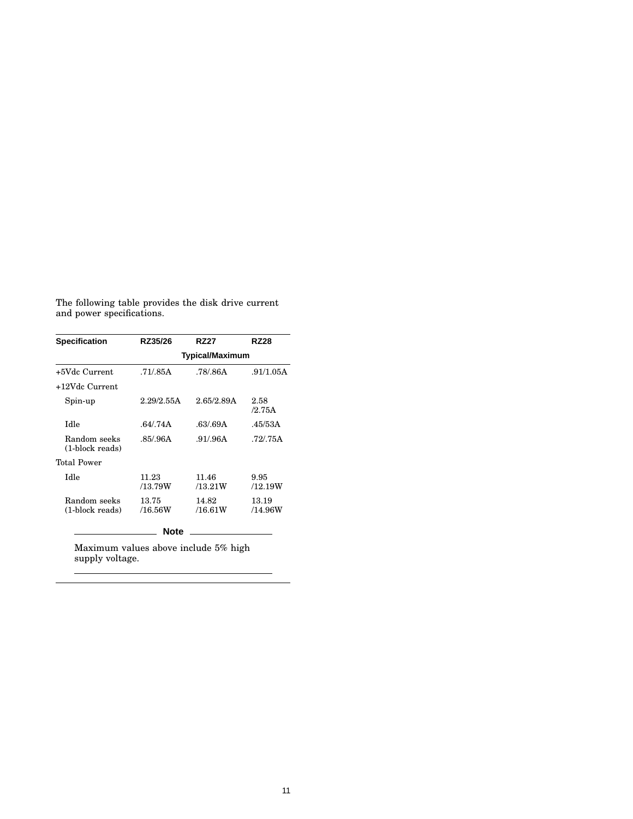|                           |  | The following table provides the disk drive current |  |  |
|---------------------------|--|-----------------------------------------------------|--|--|
| and power specifications. |  |                                                     |  |  |

| <b>Specification</b>            | RZ35/26          | <b>RZ27</b>            | <b>RZ28</b>      |  |  |
|---------------------------------|------------------|------------------------|------------------|--|--|
|                                 |                  | <b>Typical/Maximum</b> |                  |  |  |
| +5Vdc Current                   | .71/.85A         | .78/.86A               | .91/1.05A        |  |  |
| +12Vdc Current                  |                  |                        |                  |  |  |
| Spin-up                         | 2.29/2.55A       | 2.65/2.89A             | 2.58<br>/2.75A   |  |  |
| Idle                            | .64/.74A         | .63/.69A               | .45/53A          |  |  |
| Random seeks<br>(1-block reads) | .85/.96A         | .91/.96A               | .72/.75A         |  |  |
| Total Power                     |                  |                        |                  |  |  |
| Idle                            | 11.23<br>/13.79W | 11.46<br>/13.21W       | 9.95<br>/12.19W  |  |  |
| Random seeks<br>(1-block reads) | 13.75<br>/16.56W | 14.82<br>/16.61W       | 13.19<br>/14.96W |  |  |
|                                 | Note             |                        |                  |  |  |

Maximum values above include 5% high supply voltage.

 $\overline{a}$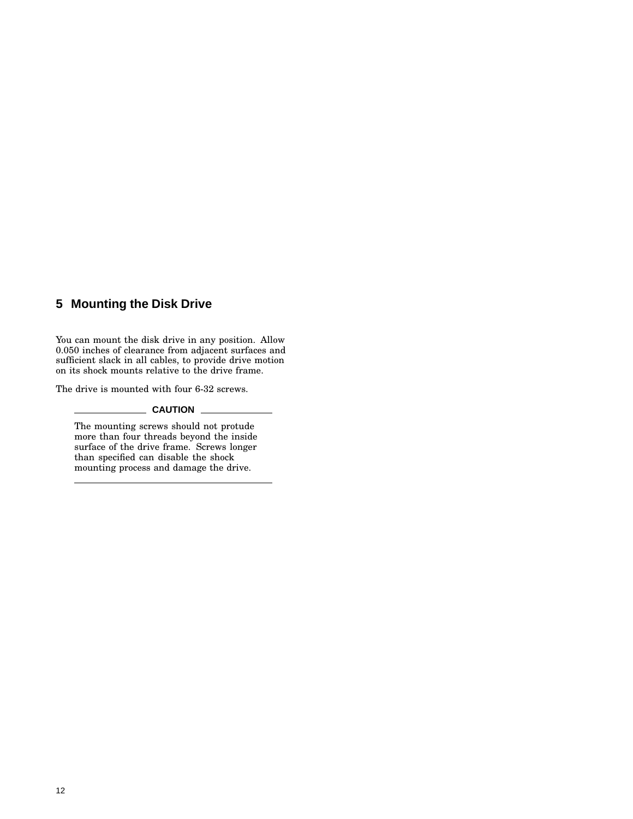## **5 Mounting the Disk Drive**

You can mount the disk drive in any position. Allow 0.050 inches of clearance from adjacent surfaces and sufficient slack in all cables, to provide drive motion on its shock mounts relative to the drive frame.

The drive is mounted with four 6-32 screws.

#### $\equiv$  Caution  $\equiv$

The mounting screws should not protude more than four threads beyond the inside surface of the drive frame. Screws longer than specified can disable the shock mounting process and damage the drive.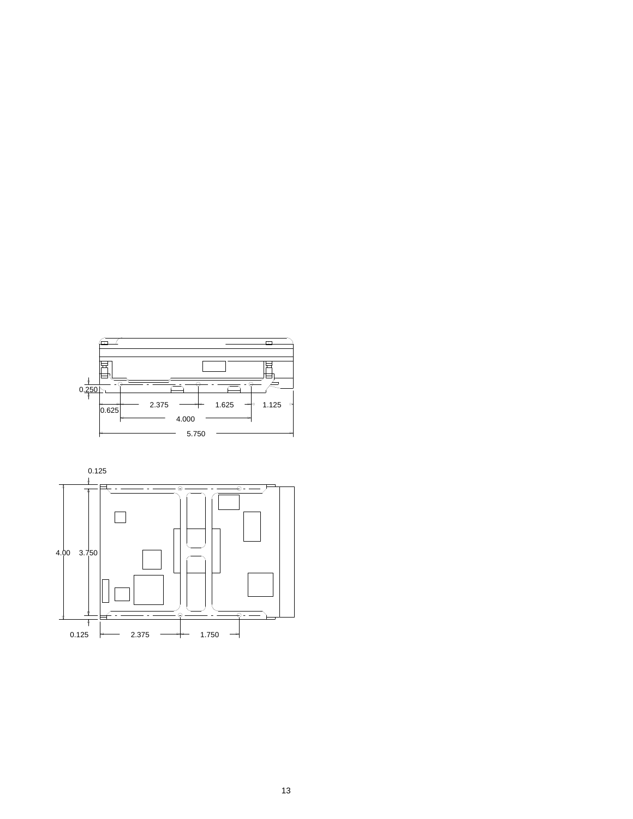

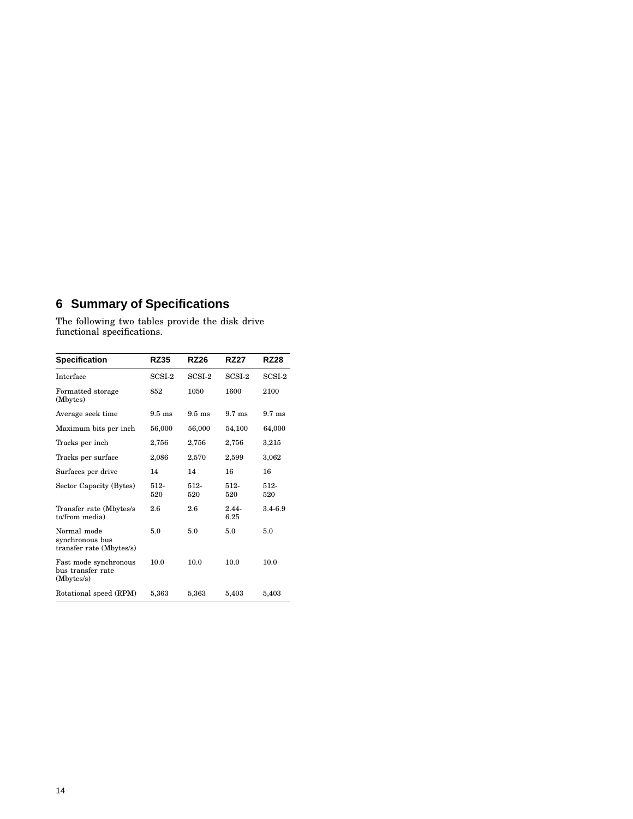# **6 Summary of Specifications**

The following two tables provide the disk drive functional specifications.

| <b>Specification</b>                                       | <b>RZ35</b>      | <b>RZ26</b>      | <b>RZ27</b>      | <b>RZ28</b>      |
|------------------------------------------------------------|------------------|------------------|------------------|------------------|
| Interface                                                  | SCSI-2           | SCSI-2           | SCSI-2           | SCSI-2           |
| Formatted storage<br>(Mbytes)                              | 852              | 1050             | 1600             | 2100             |
| Average seek time                                          | $9.5 \text{ ms}$ | $9.5 \text{ ms}$ | $9.7 \text{ ms}$ | $9.7 \text{ ms}$ |
| Maximum bits per inch                                      | 56,000           | 56,000           | 54,100           | 64,000           |
| Tracks per inch                                            | 2,756            | 2,756            | 2,756            | 3,215            |
| Tracks per surface                                         | 2,086            | 2,570            | 2,599            | 3,062            |
| Surfaces per drive                                         | 14               | 14               | 16               | 16               |
| Sector Capacity (Bytes)                                    | 512-<br>520      | $512-$<br>520    | 512-<br>520      | 512-<br>520      |
| Transfer rate (Mbytes/s)<br>to/from media)                 | $2.6\,$          | 2.6              | $2.44 -$<br>6.25 | 3.4-6.9          |
| Normal mode<br>synchronous bus<br>transfer rate (Mbytes/s) | 5.0              | 5.0              | 5.0              | 5.0              |
| Fast mode synchronous<br>bus transfer rate<br>(Mbytes/s)   | 10.0             | 10.0             | 10.0             | 10.0             |
| Rotational speed (RPM)                                     | 5,363            | 5,363            | 5,403            | 5,403            |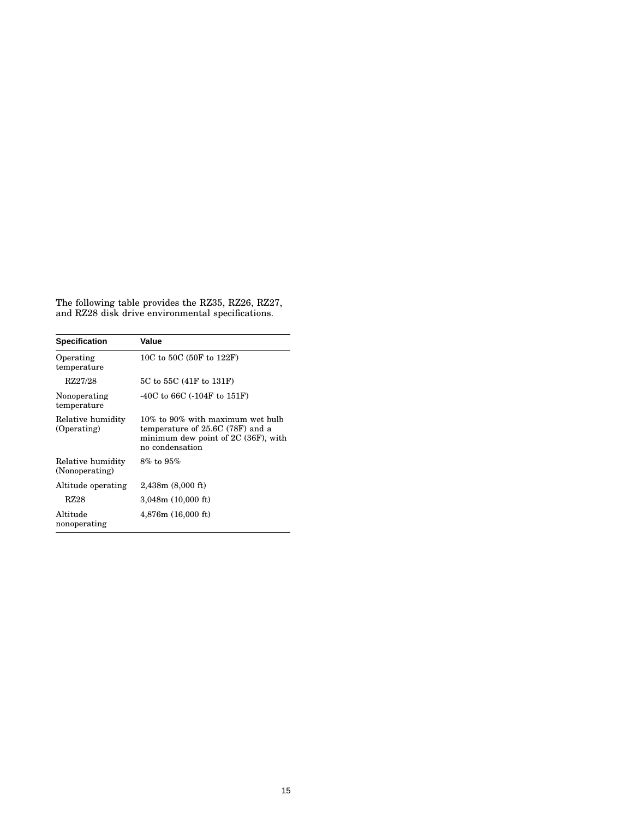The following table provides the RZ35, RZ26, RZ27, and RZ28 disk drive environmental specifications.

| <b>Specification</b>                | Value                                                                                                                             |  |  |  |
|-------------------------------------|-----------------------------------------------------------------------------------------------------------------------------------|--|--|--|
| Operating<br>temperature            | 10C to 50C (50F to 122F)                                                                                                          |  |  |  |
| RZ27/28                             | 5C to 55C (41F to 131F)                                                                                                           |  |  |  |
| Nonoperating<br>temperature         | $-40C$ to 66C ( $-104F$ to 151F)                                                                                                  |  |  |  |
| Relative humidity<br>(Operating)    | $10\%$ to 90% with maximum wet bulb<br>temperature of 25.6C (78F) and a<br>minimum dew point of 2C (36F), with<br>no condensation |  |  |  |
| Relative humidity<br>(Nonoperating) | $8\%$ to $95\%$                                                                                                                   |  |  |  |
| Altitude operating                  | 2,438m (8,000 ft)                                                                                                                 |  |  |  |
| RZ28                                | 3,048m (10,000 ft)                                                                                                                |  |  |  |
| Altitude<br>nonoperating            | 4,876m(16,000 ft)                                                                                                                 |  |  |  |